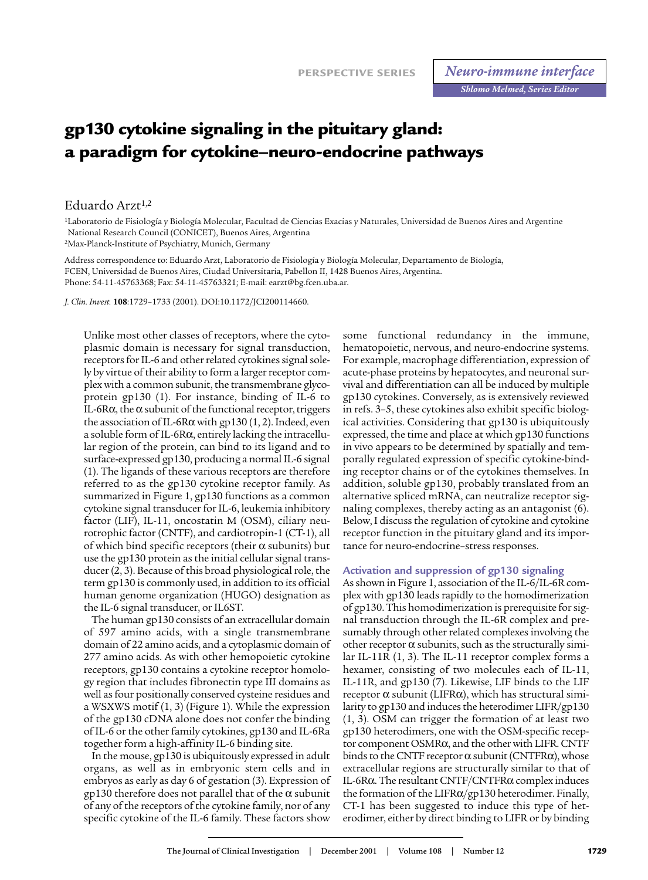# **gp130 cytokine signaling in the pituitary gland: a paradigm for cytokine–neuro-endocrine pathways**

Eduardo Arzt<sup>1,2</sup>

1Laboratorio de Fisiología y Biología Molecular, Facultad de Ciencias Exacias y Naturales, Universidad de Buenos Aires and Argentine National Research Council (CONICET), Buenos Aires, Argentina

2Max-Planck-Institute of Psychiatry, Munich, Germany

Address correspondence to: Eduardo Arzt, Laboratorio de Fisiología y Biología Molecular, Departamento de Biología, FCEN, Universidad de Buenos Aires, Ciudad Universitaria, Pabellon II, 1428 Buenos Aires, Argentina. Phone: 54-11-45763368; Fax: 54-11-45763321; E-mail: earzt@bg.fcen.uba.ar.

*J. Clin. Invest.* **108**:1729–1733 (2001). DOI:10.1172/JCI200114660.

Unlike most other classes of receptors, where the cytoplasmic domain is necessary for signal transduction, receptors for IL-6 and other related cytokines signal solely by virtue of their ability to form a larger receptor complex with a common subunit, the transmembrane glycoprotein gp130 (1). For instance, binding of IL-6 to IL-6R $\alpha$ , the  $\alpha$  subunit of the functional receptor, triggers the association of IL-6R $\alpha$  with gp130 (1, 2). Indeed, even a soluble form of IL-6Rα, entirely lacking the intracellular region of the protein, can bind to its ligand and to surface-expressed gp130, producing a normal IL-6 signal (1). The ligands of these various receptors are therefore referred to as the gp130 cytokine receptor family. As summarized in Figure 1, gp130 functions as a common cytokine signal transducer for IL-6, leukemia inhibitory factor (LIF), IL-11, oncostatin M (OSM), ciliary neurotrophic factor (CNTF), and cardiotropin-1 (CT-1), all of which bind specific receptors (their  $\alpha$  subunits) but use the gp130 protein as the initial cellular signal transducer (2, 3). Because of this broad physiological role, the term gp130 is commonly used, in addition to its official human genome organization (HUGO) designation as the IL-6 signal transducer, or IL6ST.

The human gp130 consists of an extracellular domain of 597 amino acids, with a single transmembrane domain of 22 amino acids, and a cytoplasmic domain of 277 amino acids. As with other hemopoietic cytokine receptors, gp130 contains a cytokine receptor homology region that includes fibronectin type III domains as well as four positionally conserved cysteine residues and a WSXWS motif (1, 3) (Figure 1). While the expression of the gp130 cDNA alone does not confer the binding of IL-6 or the other family cytokines, gp130 and IL-6Ra together form a high-affinity IL-6 binding site.

In the mouse, gp130 is ubiquitously expressed in adult organs, as well as in embryonic stem cells and in embryos as early as day 6 of gestation (3). Expression of  $gp130$  therefore does not parallel that of the  $\alpha$  subunit of any of the receptors of the cytokine family, nor of any specific cytokine of the IL-6 family. These factors show

some functional redundancy in the immune, hematopoietic, nervous, and neuro-endocrine systems. For example, macrophage differentiation, expression of acute-phase proteins by hepatocytes, and neuronal survival and differentiation can all be induced by multiple gp130 cytokines. Conversely, as is extensively reviewed in refs. 3–5, these cytokines also exhibit specific biological activities. Considering that gp130 is ubiquitously expressed, the time and place at which gp130 functions in vivo appears to be determined by spatially and temporally regulated expression of specific cytokine-binding receptor chains or of the cytokines themselves. In addition, soluble gp130, probably translated from an alternative spliced mRNA, can neutralize receptor signaling complexes, thereby acting as an antagonist (6). Below, I discuss the regulation of cytokine and cytokine receptor function in the pituitary gland and its importance for neuro-endocrine–stress responses.

# **Activation and suppression of gp130 signaling**

As shown in Figure 1, association of the IL-6/IL-6R complex with gp130 leads rapidly to the homodimerization of gp130. This homodimerization is prerequisite for signal transduction through the IL-6R complex and presumably through other related complexes involving the other receptor  $\alpha$  subunits, such as the structurally similar IL-11R (1, 3). The IL-11 receptor complex forms a hexamer, consisting of two molecules each of IL-11, IL-11R, and gp130 (7). Likewise, LIF binds to the LIF receptor  $\alpha$  subunit (LIFRα), which has structural similarity to gp130 and induces the heterodimer LIFR/gp130 (1, 3). OSM can trigger the formation of at least two gp130 heterodimers, one with the OSM-specific receptor component OSMRα, and the other with LIFR. CNTF binds to the CNTF receptor  $\alpha$  subunit (CNTFR $\alpha$ ), whose extracellular regions are structurally similar to that of IL-6Rα. The resultant CNTF/CNTFRα complex induces the formation of the LIFRα/gp130 heterodimer. Finally, CT-1 has been suggested to induce this type of heterodimer, either by direct binding to LIFR or by binding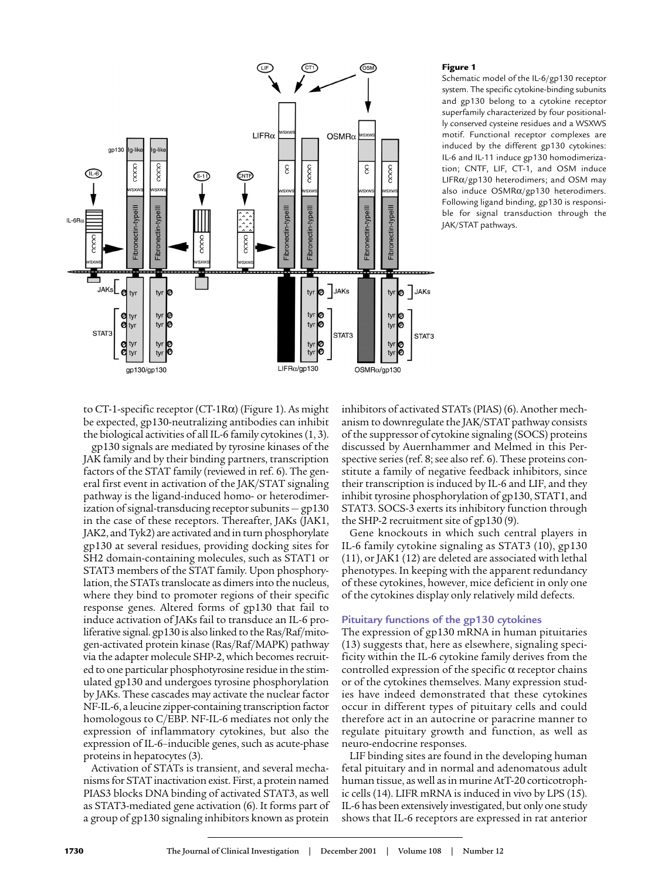

### **Figure 1**

Schematic model of the IL-6/gp130 receptor system. The specific cytokine-binding subunits and gp130 belong to a cytokine receptor superfamily characterized by four positionally conserved cysteine residues and a WSXWS motif. Functional receptor complexes are induced by the different gp130 cytokines: IL-6 and IL-11 induce gp130 homodimerization; CNTF, LIF, CT-1, and OSM induce LIFRα/gp130 heterodimers; and OSM may also induce OSMRα/gp130 heterodimers. Following ligand binding, gp130 is responsible for signal transduction through the JAK/STAT pathways.

to CT-1-specific receptor (CT-1Rα) (Figure 1). As might be expected, gp130-neutralizing antibodies can inhibit the biological activities of all IL-6 family cytokines (1, 3).

gp130 signals are mediated by tyrosine kinases of the JAK family and by their binding partners, transcription factors of the STAT family (reviewed in ref. 6). The general first event in activation of the JAK/STAT signaling pathway is the ligand-induced homo- or heterodimerization of signal-transducing receptor subunits — gp130 in the case of these receptors. Thereafter, JAKs (JAK1, JAK2, and Tyk2) are activated and in turn phosphorylate gp130 at several residues, providing docking sites for SH2 domain-containing molecules, such as STAT1 or STAT3 members of the STAT family. Upon phosphorylation, the STATs translocate as dimers into the nucleus, where they bind to promoter regions of their specific response genes. Altered forms of gp130 that fail to induce activation of JAKs fail to transduce an IL-6 proliferative signal. gp130 is also linked to the Ras/Raf/mitogen-activated protein kinase (Ras/Raf/MAPK) pathway via the adapter molecule SHP-2, which becomes recruited to one particular phosphotyrosine residue in the stimulated gp130 and undergoes tyrosine phosphorylation by JAKs. These cascades may activate the nuclear factor NF-IL-6, a leucine zipper-containing transcription factor homologous to C/EBP. NF-IL-6 mediates not only the expression of inflammatory cytokines, but also the expression of IL-6–inducible genes, such as acute-phase proteins in hepatocytes (3).

Activation of STATs is transient, and several mechanisms for STAT inactivation exist. First, a protein named PIAS3 blocks DNA binding of activated STAT3, as well as STAT3-mediated gene activation (6). It forms part of a group of gp130 signaling inhibitors known as protein

inhibitors of activated STATs (PIAS) (6). Another mechanism to downregulate the JAK/STAT pathway consists of the suppressor of cytokine signaling (SOCS) proteins discussed by Auernhammer and Melmed in this Perspective series (ref. 8; see also ref. 6). These proteins constitute a family of negative feedback inhibitors, since their transcription is induced by IL-6 and LIF, and they inhibit tyrosine phosphorylation of gp130, STAT1, and STAT3. SOCS-3 exerts its inhibitory function through the SHP-2 recruitment site of gp130 (9).

Gene knockouts in which such central players in IL-6 family cytokine signaling as STAT3 (10), gp130 (11), or JAK1 (12) are deleted are associated with lethal phenotypes. In keeping with the apparent redundancy of these cytokines, however, mice deficient in only one of the cytokines display only relatively mild defects.

# **Pituitary functions of the gp130 cytokines**

The expression of gp130 mRNA in human pituitaries (13) suggests that, here as elsewhere, signaling specificity within the IL-6 cytokine family derives from the controlled expression of the specific  $\alpha$  receptor chains or of the cytokines themselves. Many expression studies have indeed demonstrated that these cytokines occur in different types of pituitary cells and could therefore act in an autocrine or paracrine manner to regulate pituitary growth and function, as well as neuro-endocrine responses.

LIF binding sites are found in the developing human fetal pituitary and in normal and adenomatous adult human tissue, as well as in murine AtT-20 corticotrophic cells (14). LIFR mRNA is induced in vivo by LPS (15). IL-6 has been extensively investigated, but only one study shows that IL-6 receptors are expressed in rat anterior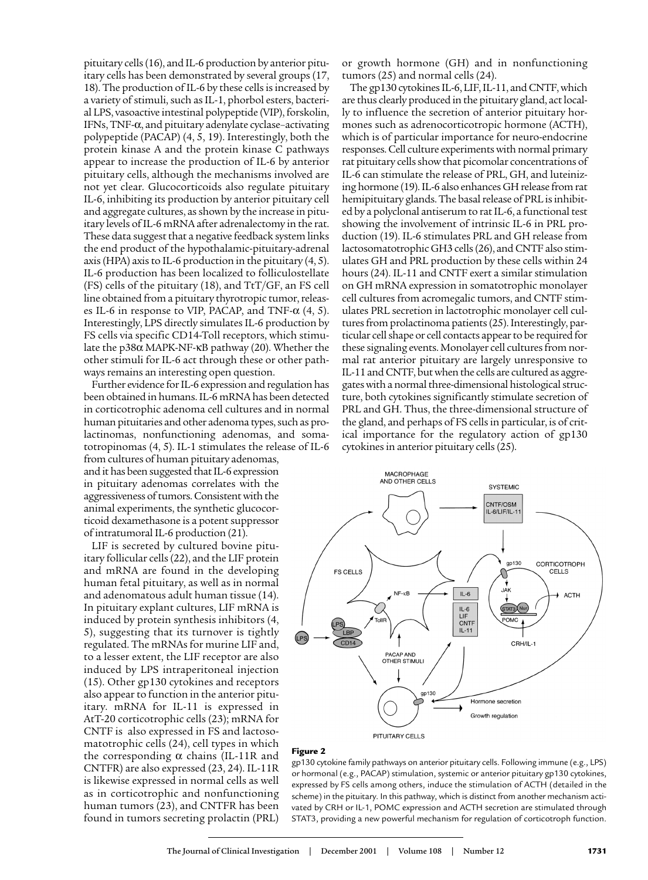pituitary cells (16), and IL-6 production by anterior pituitary cells has been demonstrated by several groups (17, 18). The production of IL-6 by these cells is increased by a variety of stimuli, such as IL-1, phorbol esters, bacterial LPS, vasoactive intestinal polypeptide (VIP), forskolin, IFNs, TNF-α, and pituitary adenylate cyclase–activating polypeptide (PACAP) (4, 5, 19). Interestingly, both the protein kinase A and the protein kinase C pathways appear to increase the production of IL-6 by anterior pituitary cells, although the mechanisms involved are not yet clear. Glucocorticoids also regulate pituitary IL-6, inhibiting its production by anterior pituitary cell and aggregate cultures, as shown by the increase in pituitary levels of IL-6 mRNA after adrenalectomy in the rat. These data suggest that a negative feedback system links the end product of the hypothalamic-pituitary-adrenal axis (HPA) axis to IL-6 production in the pituitary (4, 5). IL-6 production has been localized to folliculostellate  $(FS)$  cells of the pituitary (18), and  $TtT/GF$ , an FS cell line obtained from a pituitary thyrotropic tumor, releases IL-6 in response to VIP, PACAP, and TNF- $\alpha$  (4, 5). Interestingly, LPS directly simulates IL-6 production by FS cells via specific CD14-Toll receptors, which stimulate the p38α MAPK-NF-κB pathway (20). Whether the other stimuli for IL-6 act through these or other pathways remains an interesting open question.

Further evidence for IL-6 expression and regulation has been obtained in humans. IL-6 mRNA has been detected in corticotrophic adenoma cell cultures and in normal human pituitaries and other adenoma types, such as prolactinomas, nonfunctioning adenomas, and somatotropinomas (4, 5). IL-1 stimulates the release of IL-6

from cultures of human pituitary adenomas, and it has been suggested that IL-6 expression in pituitary adenomas correlates with the aggressiveness of tumors. Consistent with the animal experiments, the synthetic glucocorticoid dexamethasone is a potent suppressor of intratumoral IL-6 production (21).

LIF is secreted by cultured bovine pituitary follicular cells (22), and the LIF protein and mRNA are found in the developing human fetal pituitary, as well as in normal and adenomatous adult human tissue (14). In pituitary explant cultures, LIF mRNA is induced by protein synthesis inhibitors (4, 5), suggesting that its turnover is tightly regulated. The mRNAs for murine LIF and, to a lesser extent, the LIF receptor are also induced by LPS intraperitoneal injection (15). Other gp130 cytokines and receptors also appear to function in the anterior pituitary. mRNA for IL-11 is expressed in AtT-20 corticotrophic cells (23); mRNA for CNTF is also expressed in FS and lactosomatotrophic cells (24), cell types in which the corresponding  $\alpha$  chains (IL-11R and CNTFR) are also expressed (23, 24). IL-11R is likewise expressed in normal cells as well as in corticotrophic and nonfunctioning human tumors (23), and CNTFR has been found in tumors secreting prolactin (PRL)

or growth hormone (GH) and in nonfunctioning tumors (25) and normal cells (24).

The gp130 cytokines IL-6, LIF, IL-11, and CNTF, which are thus clearly produced in the pituitary gland, act locally to influence the secretion of anterior pituitary hormones such as adrenocorticotropic hormone (ACTH), which is of particular importance for neuro-endocrine responses. Cell culture experiments with normal primary rat pituitary cells show that picomolar concentrations of IL-6 can stimulate the release of PRL, GH, and luteinizing hormone (19). IL-6 also enhances GH release from rat hemipituitary glands. The basal release of PRL is inhibited by a polyclonal antiserum to rat IL-6, a functional test showing the involvement of intrinsic IL-6 in PRL production (19). IL-6 stimulates PRL and GH release from lactosomatotrophic GH3 cells (26), and CNTF also stimulates GH and PRL production by these cells within 24 hours (24). IL-11 and CNTF exert a similar stimulation on GH mRNA expression in somatotrophic monolayer cell cultures from acromegalic tumors, and CNTF stimulates PRL secretion in lactotrophic monolayer cell cultures from prolactinoma patients (25). Interestingly, particular cell shape or cell contacts appear to be required for these signaling events. Monolayer cell cultures from normal rat anterior pituitary are largely unresponsive to IL-11 and CNTF, but when the cells are cultured as aggregates with a normal three-dimensional histological structure, both cytokines significantly stimulate secretion of PRL and GH. Thus, the three-dimensional structure of the gland, and perhaps of FS cells in particular, is of critical importance for the regulatory action of gp130 cytokines in anterior pituitary cells (25).



#### **Figure 2**

gp130 cytokine family pathways on anterior pituitary cells. Following immune (e.g., LPS) or hormonal (e.g., PACAP) stimulation, systemic or anterior pituitary gp130 cytokines, expressed by FS cells among others, induce the stimulation of ACTH (detailed in the scheme) in the pituitary. In this pathway, which is distinct from another mechanism activated by CRH or IL-1, POMC expression and ACTH secretion are stimulated through STAT3, providing a new powerful mechanism for regulation of corticotroph function.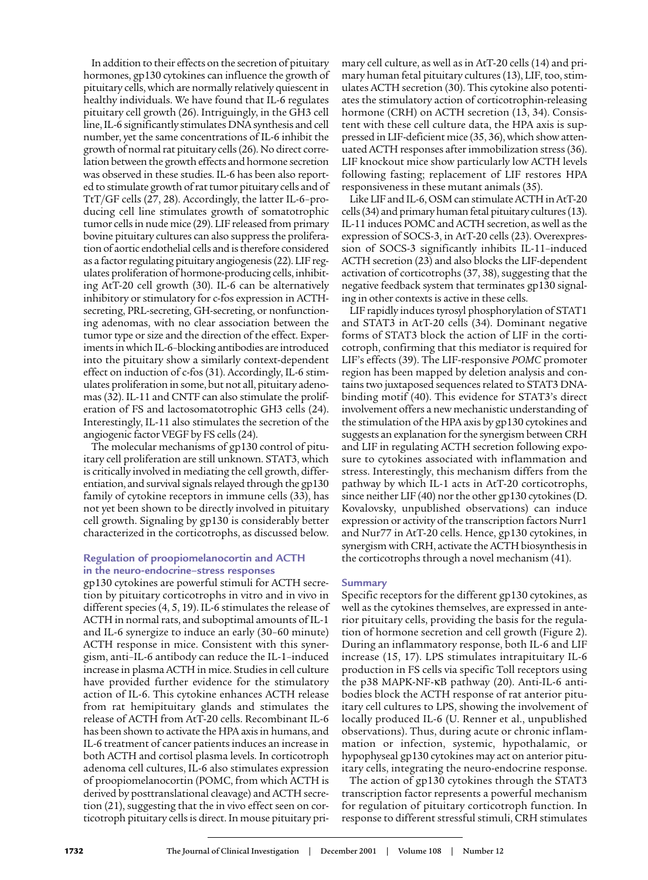In addition to their effects on the secretion of pituitary hormones, gp130 cytokines can influence the growth of pituitary cells, which are normally relatively quiescent in healthy individuals. We have found that IL-6 regulates pituitary cell growth (26). Intriguingly, in the GH3 cell line, IL-6 significantly stimulates DNA synthesis and cell number, yet the same concentrations of IL-6 inhibit the growth of normal rat pituitary cells (26). No direct correlation between the growth effects and hormone secretion was observed in these studies. IL-6 has been also reported to stimulate growth of rat tumor pituitary cells and of TtT/GF cells (27, 28). Accordingly, the latter IL-6–producing cell line stimulates growth of somatotrophic tumor cells in nude mice (29). LIF released from primary bovine pituitary cultures can also suppress the proliferation of aortic endothelial cells and is therefore considered as a factor regulating pituitary angiogenesis (22). LIF regulates proliferation of hormone-producing cells, inhibiting AtT-20 cell growth (30). IL-6 can be alternatively inhibitory or stimulatory for c-fos expression in ACTHsecreting, PRL-secreting, GH-secreting, or nonfunctioning adenomas, with no clear association between the tumor type or size and the direction of the effect. Experiments in which IL-6–blocking antibodies are introduced into the pituitary show a similarly context-dependent effect on induction of c-fos (31). Accordingly, IL-6 stimulates proliferation in some, but not all, pituitary adenomas (32). IL-11 and CNTF can also stimulate the proliferation of FS and lactosomatotrophic GH3 cells (24). Interestingly, IL-11 also stimulates the secretion of the angiogenic factor VEGF by FS cells (24).

The molecular mechanisms of gp130 control of pituitary cell proliferation are still unknown. STAT3, which is critically involved in mediating the cell growth, differentiation, and survival signals relayed through the gp130 family of cytokine receptors in immune cells (33), has not yet been shown to be directly involved in pituitary cell growth. Signaling by gp130 is considerably better characterized in the corticotrophs, as discussed below.

# **Regulation of proopiomelanocortin and ACTH in the neuro-endocrine–stress responses**

gp130 cytokines are powerful stimuli for ACTH secretion by pituitary corticotrophs in vitro and in vivo in different species (4, 5, 19). IL-6 stimulates the release of ACTH in normal rats, and suboptimal amounts of IL-1 and IL-6 synergize to induce an early (30–60 minute) ACTH response in mice. Consistent with this synergism, anti–IL-6 antibody can reduce the IL-1–induced increase in plasma ACTH in mice. Studies in cell culture have provided further evidence for the stimulatory action of IL-6. This cytokine enhances ACTH release from rat hemipituitary glands and stimulates the release of ACTH from AtT-20 cells. Recombinant IL-6 has been shown to activate the HPA axis in humans, and IL-6 treatment of cancer patients induces an increase in both ACTH and cortisol plasma levels. In corticotroph adenoma cell cultures, IL-6 also stimulates expression of proopiomelanocortin (POMC, from which ACTH is derived by posttranslational cleavage) and ACTH secretion (21), suggesting that the in vivo effect seen on corticotroph pituitary cells is direct. In mouse pituitary primary cell culture, as well as in AtT-20 cells (14) and primary human fetal pituitary cultures (13), LIF, too, stimulates ACTH secretion (30). This cytokine also potentiates the stimulatory action of corticotrophin-releasing hormone (CRH) on ACTH secretion (13, 34). Consistent with these cell culture data, the HPA axis is suppressed in LIF-deficient mice (35, 36), which show attenuated ACTH responses after immobilization stress (36). LIF knockout mice show particularly low ACTH levels following fasting; replacement of LIF restores HPA responsiveness in these mutant animals (35).

Like LIF and IL-6, OSM can stimulate ACTH in AtT-20 cells (34) and primary human fetal pituitary cultures (13). IL-11 induces POMC and ACTH secretion, as well as the expression of SOCS-3, in AtT-20 cells (23). Overexpression of SOCS-3 significantly inhibits IL-11–induced ACTH secretion (23) and also blocks the LIF-dependent activation of corticotrophs (37, 38), suggesting that the negative feedback system that terminates gp130 signaling in other contexts is active in these cells.

LIF rapidly induces tyrosyl phosphorylation of STAT1 and STAT3 in AtT-20 cells (34). Dominant negative forms of STAT3 block the action of LIF in the corticotroph, confirming that this mediator is required for LIF's effects (39). The LIF-responsive *POMC* promoter region has been mapped by deletion analysis and contains two juxtaposed sequences related to STAT3 DNAbinding motif (40). This evidence for STAT3's direct involvement offers a new mechanistic understanding of the stimulation of the HPA axis by gp130 cytokines and suggests an explanation for the synergism between CRH and LIF in regulating ACTH secretion following exposure to cytokines associated with inflammation and stress. Interestingly, this mechanism differs from the pathway by which IL-1 acts in AtT-20 corticotrophs, since neither LIF (40) nor the other gp130 cytokines (D. Kovalovsky, unpublished observations) can induce expression or activity of the transcription factors Nurr1 and Nur77 in AtT-20 cells. Hence, gp130 cytokines, in synergism with CRH, activate the ACTH biosynthesis in the corticotrophs through a novel mechanism (41).

# **Summary**

Specific receptors for the different gp130 cytokines, as well as the cytokines themselves, are expressed in anterior pituitary cells, providing the basis for the regulation of hormone secretion and cell growth (Figure 2). During an inflammatory response, both IL-6 and LIF increase (15, 17). LPS stimulates intrapituitary IL-6 production in FS cells via specific Toll receptors using the p38 MAPK-NF-κB pathway (20). Anti-IL-6 antibodies block the ACTH response of rat anterior pituitary cell cultures to LPS, showing the involvement of locally produced IL-6 (U. Renner et al., unpublished observations). Thus, during acute or chronic inflammation or infection, systemic, hypothalamic, or hypophyseal gp130 cytokines may act on anterior pituitary cells, integrating the neuro-endocrine response.

The action of gp130 cytokines through the STAT3 transcription factor represents a powerful mechanism for regulation of pituitary corticotroph function. In response to different stressful stimuli, CRH stimulates